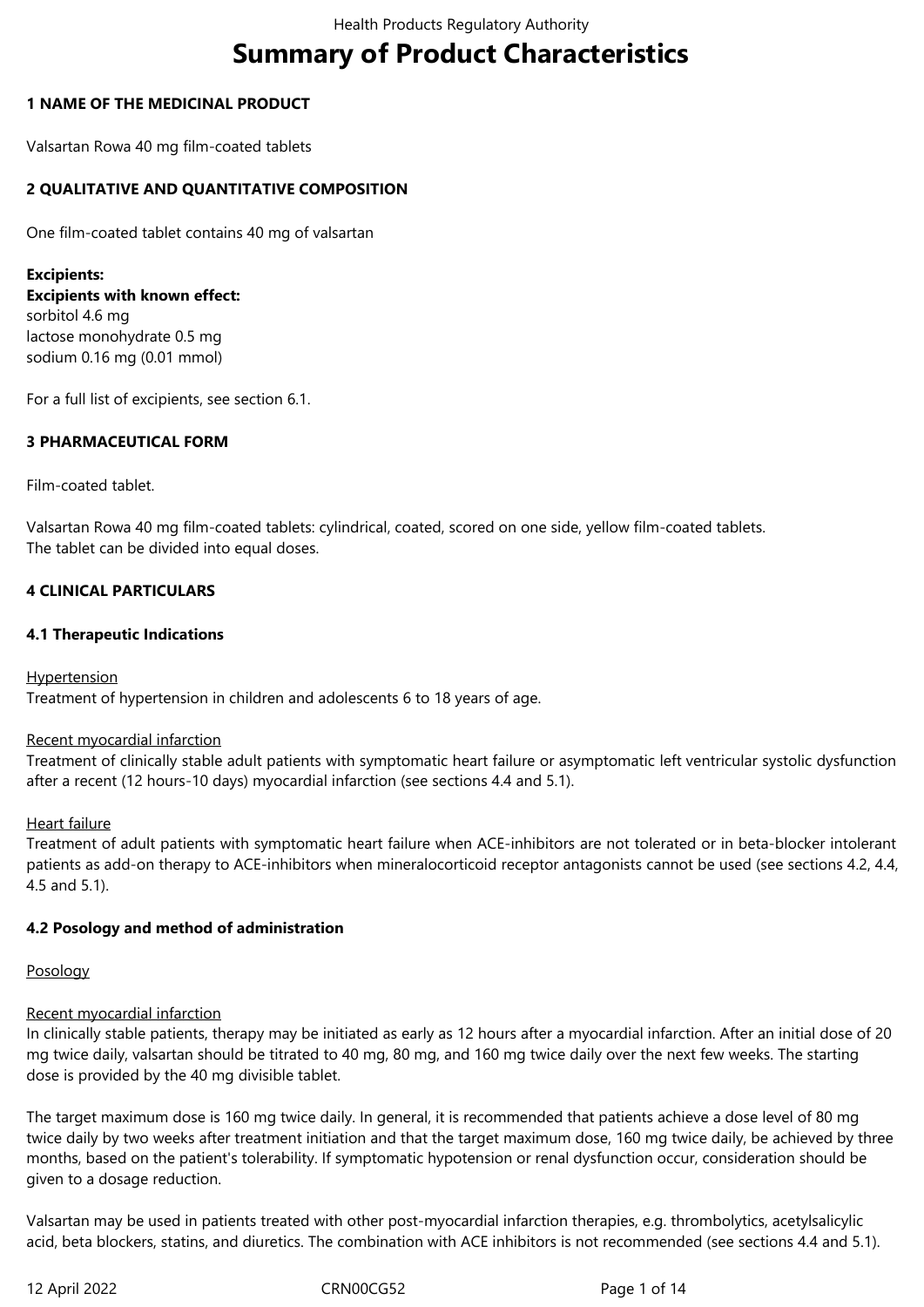# **Summary of Product Characteristics**

# **1 NAME OF THE MEDICINAL PRODUCT**

Valsartan Rowa 40 mg film-coated tablets

# **2 QUALITATIVE AND QUANTITATIVE COMPOSITION**

One film-coated tablet contains 40 mg of valsartan

**Excipients: Excipients with known effect:** sorbitol 4.6 mg lactose monohydrate 0.5 mg sodium 0.16 mg (0.01 mmol)

For a full list of excipients, see section 6.1.

# **3 PHARMACEUTICAL FORM**

# Film-coated tablet.

Valsartan Rowa 40 mg film-coated tablets: cylindrical, coated, scored on one side, yellow film-coated tablets. The tablet can be divided into equal doses.

# **4 CLINICAL PARTICULARS**

# **4.1 Therapeutic Indications**

# **Hypertension**

Treatment of hypertension in children and adolescents 6 to 18 years of age.

### Recent myocardial infarction

Treatment of clinically stable adult patients with symptomatic heart failure or asymptomatic left ventricular systolic dysfunction after a recent (12 hours-10 days) myocardial infarction (see sections 4.4 and 5.1).

### Heart failure

Treatment of adult patients with symptomatic heart failure when ACE-inhibitors are not tolerated or in beta-blocker intolerant patients as add-on therapy to ACE-inhibitors when mineralocorticoid receptor antagonists cannot be used (see sections 4.2, 4.4, 4.5 and 5.1).

### **4.2 Posology and method of administration**

### Posology

# Recent myocardial infarction

In clinically stable patients, therapy may be initiated as early as 12 hours after a myocardial infarction. After an initial dose of 20 mg twice daily, valsartan should be titrated to 40 mg, 80 mg, and 160 mg twice daily over the next few weeks. The starting dose is provided by the 40 mg divisible tablet.

The target maximum dose is 160 mg twice daily. In general, it is recommended that patients achieve a dose level of 80 mg twice daily by two weeks after treatment initiation and that the target maximum dose, 160 mg twice daily, be achieved by three months, based on the patient's tolerability. If symptomatic hypotension or renal dysfunction occur, consideration should be given to a dosage reduction.

Valsartan may be used in patients treated with other post-myocardial infarction therapies, e.g. thrombolytics, acetylsalicylic acid, beta blockers, statins, and diuretics. The combination with ACE inhibitors is not recommended (see sections 4.4 and 5.1).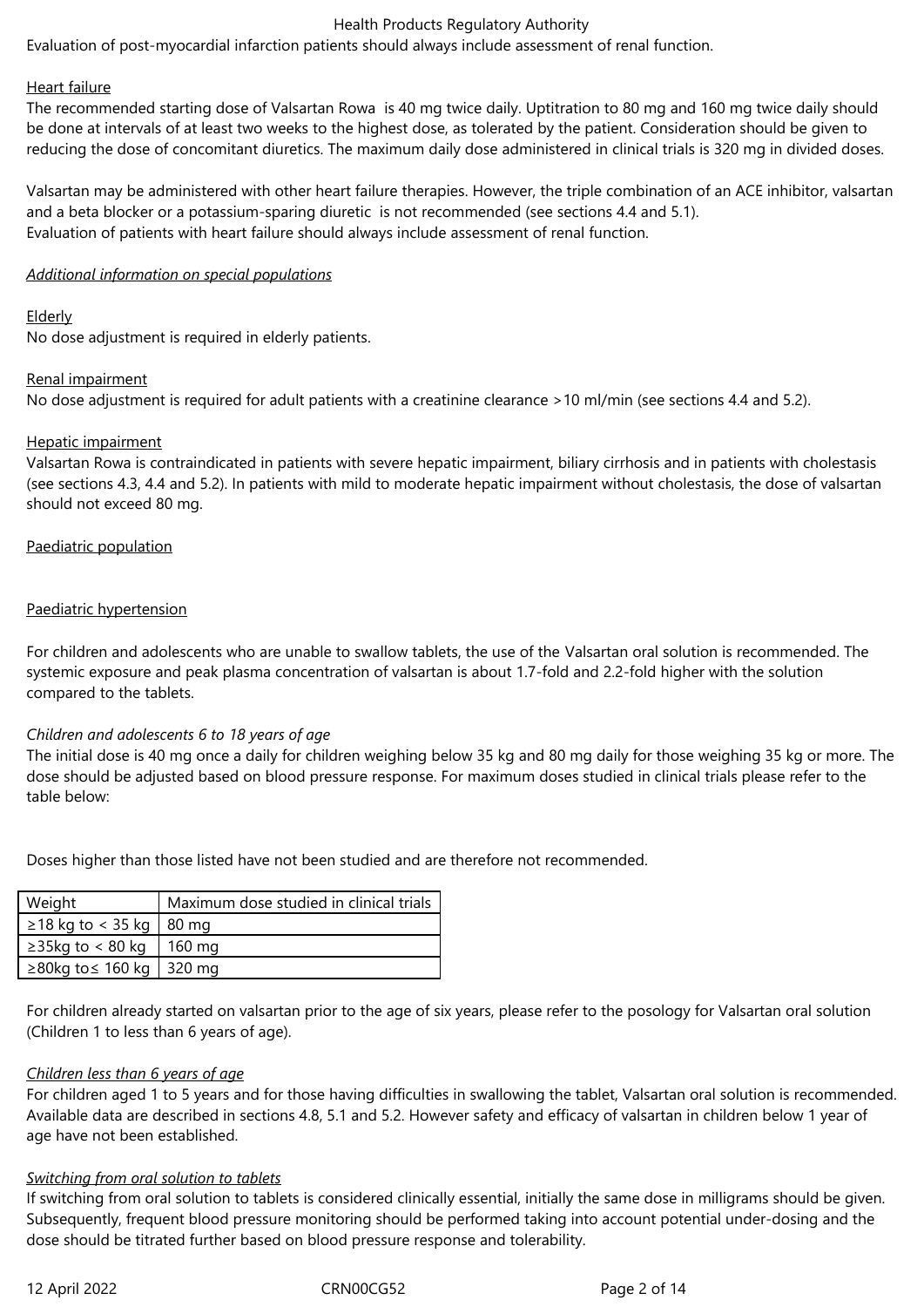Evaluation of post-myocardial infarction patients should always include assessment of renal function.

#### Heart failure

The recommended starting dose of Valsartan Rowa is 40 mg twice daily. Uptitration to 80 mg and 160 mg twice daily should be done at intervals of at least two weeks to the highest dose, as tolerated by the patient. Consideration should be given to reducing the dose of concomitant diuretics. The maximum daily dose administered in clinical trials is 320 mg in divided doses.

Valsartan may be administered with other heart failure therapies. However, the triple combination of an ACE inhibitor, valsartan and a beta blocker or a potassium-sparing diuretic is not recommended (see sections 4.4 and 5.1). Evaluation of patients with heart failure should always include assessment of renal function.

#### *Additional information on special populations*

#### Elderly

No dose adjustment is required in elderly patients.

#### Renal impairment

No dose adjustment is required for adult patients with a creatinine clearance >10 ml/min (see sections 4.4 and 5.2).

#### Hepatic impairment

Valsartan Rowa is contraindicated in patients with severe hepatic impairment, biliary cirrhosis and in patients with cholestasis (see sections 4.3, 4.4 and 5.2). In patients with mild to moderate hepatic impairment without cholestasis, the dose of valsartan should not exceed 80 mg.

#### Paediatric population

### Paediatric hypertension

For children and adolescents who are unable to swallow tablets, the use of the Valsartan oral solution is recommended. The systemic exposure and peak plasma concentration of valsartan is about 1.7-fold and 2.2-fold higher with the solution compared to the tablets.

### *Children and adolescents 6 to 18 years of age*

The initial dose is 40 mg once a daily for children weighing below 35 kg and 80 mg daily for those weighing 35 kg or more. The dose should be adjusted based on blood pressure response. For maximum doses studied in clinical trials please refer to the table below:

Doses higher than those listed have not been studied and are therefore not recommended.

| Weight                          | Maximum dose studied in clinical trials |
|---------------------------------|-----------------------------------------|
| $\geq$ 18 kg to < 35 kg   80 mg |                                         |
| $\geq$ 35kg to < 80 kg   160 mg |                                         |
| ≥80kg to $\leq$ 160 kg   320 mg |                                         |

For children already started on valsartan prior to the age of six years, please refer to the posology for Valsartan oral solution (Children 1 to less than 6 years of age).

### *Children less than 6 years of age*

For children aged 1 to 5 years and for those having difficulties in swallowing the tablet, Valsartan oral solution is recommended. Available data are described in sections 4.8, 5.1 and 5.2. However safety and efficacy of valsartan in children below 1 year of age have not been established.

### *Switching from oral solution to tablets*

If switching from oral solution to tablets is considered clinically essential, initially the same dose in milligrams should be given. Subsequently, frequent blood pressure monitoring should be performed taking into account potential under-dosing and the dose should be titrated further based on blood pressure response and tolerability.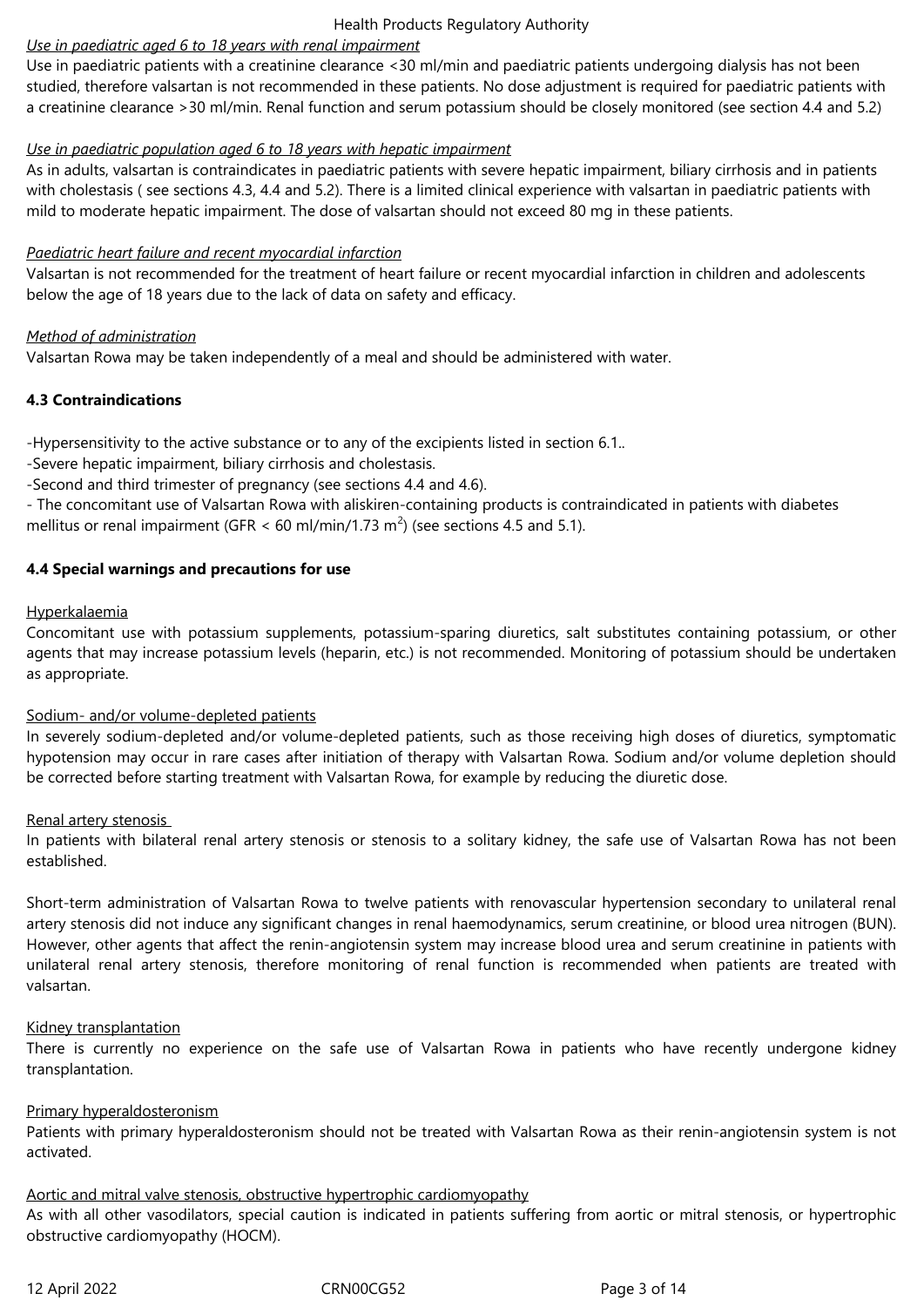# *Use in paediatric aged 6 to 18 years with renal impairment*

Use in paediatric patients with a creatinine clearance <30 ml/min and paediatric patients undergoing dialysis has not been studied, therefore valsartan is not recommended in these patients. No dose adjustment is required for paediatric patients with a creatinine clearance >30 ml/min. Renal function and serum potassium should be closely monitored (see section 4.4 and 5.2)

# *Use in paediatric population aged 6 to 18 years with hepatic impairment*

As in adults, valsartan is contraindicates in paediatric patients with severe hepatic impairment, biliary cirrhosis and in patients with cholestasis ( see sections 4.3, 4.4 and 5.2). There is a limited clinical experience with valsartan in paediatric patients with mild to moderate hepatic impairment. The dose of valsartan should not exceed 80 mg in these patients.

# *Paediatric heart failure and recent myocardial infarction*

Valsartan is not recommended for the treatment of heart failure or recent myocardial infarction in children and adolescents below the age of 18 years due to the lack of data on safety and efficacy.

# *Method of administration*

Valsartan Rowa may be taken independently of a meal and should be administered with water.

# **4.3 Contraindications**

-Hypersensitivity to the active substance or to any of the excipients listed in section 6.1..

-Severe hepatic impairment, biliary cirrhosis and cholestasis.

-Second and third trimester of pregnancy (see sections 4.4 and 4.6).

- The concomitant use of Valsartan Rowa with aliskiren-containing products is contraindicated in patients with diabetes mellitus or renal impairment (GFR < 60 ml/min/1.73 m<sup>2</sup>) (see sections 4.5 and 5.1).

# **4.4 Special warnings and precautions for use**

# Hyperkalaemia

Concomitant use with potassium supplements, potassium-sparing diuretics, salt substitutes containing potassium, or other agents that may increase potassium levels (heparin, etc.) is not recommended. Monitoring of potassium should be undertaken as appropriate.

### Sodium- and/or volume-depleted patients

In severely sodium-depleted and/or volume-depleted patients, such as those receiving high doses of diuretics, symptomatic hypotension may occur in rare cases after initiation of therapy with Valsartan Rowa. Sodium and/or volume depletion should be corrected before starting treatment with Valsartan Rowa, for example by reducing the diuretic dose.

### Renal artery stenosis

In patients with bilateral renal artery stenosis or stenosis to a solitary kidney, the safe use of Valsartan Rowa has not been established.

Short-term administration of Valsartan Rowa to twelve patients with renovascular hypertension secondary to unilateral renal artery stenosis did not induce any significant changes in renal haemodynamics, serum creatinine, or blood urea nitrogen (BUN). However, other agents that affect the renin-angiotensin system may increase blood urea and serum creatinine in patients with unilateral renal artery stenosis, therefore monitoring of renal function is recommended when patients are treated with valsartan.

### Kidney transplantation

There is currently no experience on the safe use of Valsartan Rowa in patients who have recently undergone kidney transplantation.

# Primary hyperaldosteronism

Patients with primary hyperaldosteronism should not be treated with Valsartan Rowa as their renin-angiotensin system is not activated.

### Aortic and mitral valve stenosis, obstructive hypertrophic cardiomyopathy

As with all other vasodilators, special caution is indicated in patients suffering from aortic or mitral stenosis, or hypertrophic obstructive cardiomyopathy (HOCM).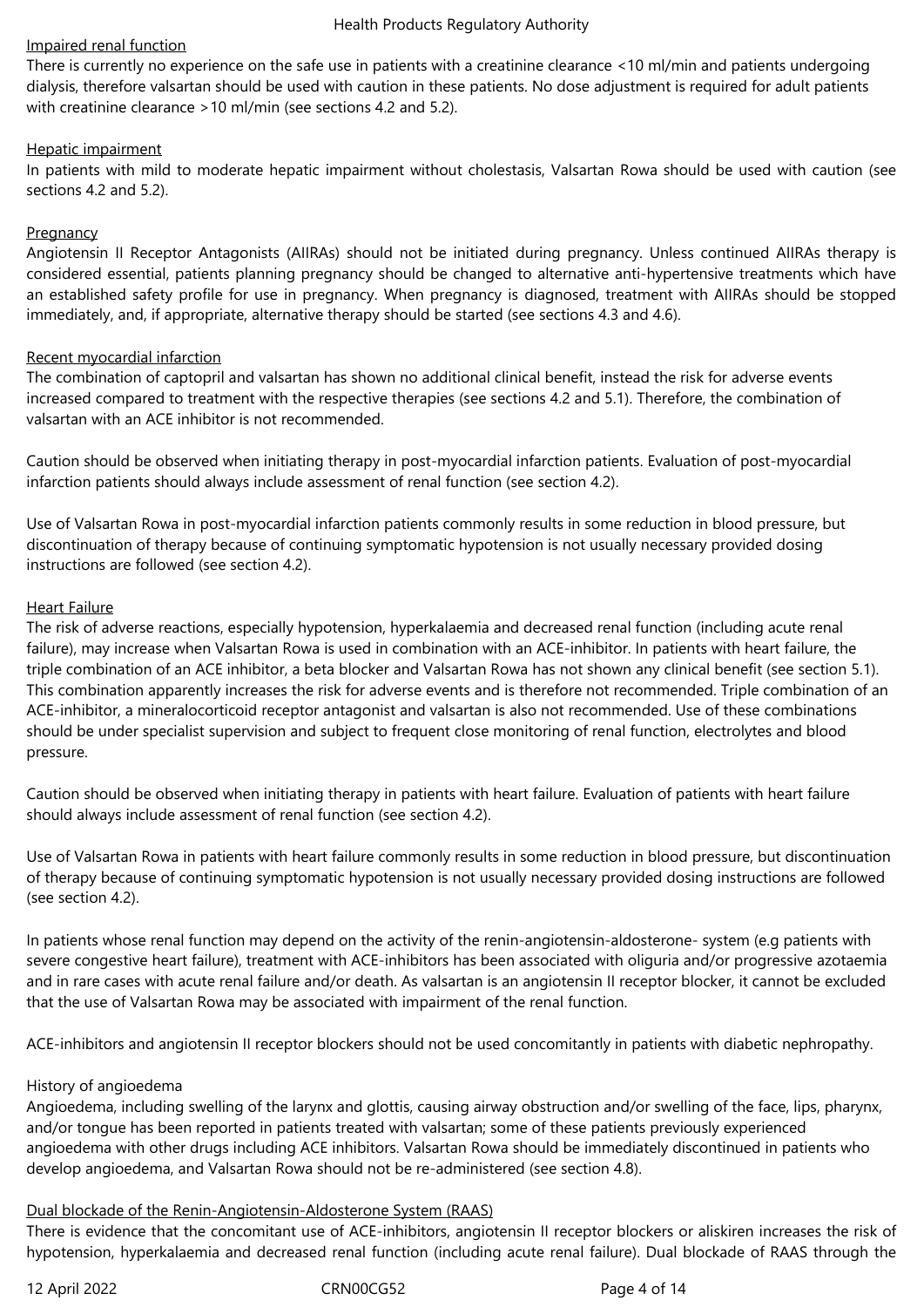### Impaired renal function

There is currently no experience on the safe use in patients with a creatinine clearance <10 ml/min and patients undergoing dialysis, therefore valsartan should be used with caution in these patients. No dose adjustment is required for adult patients with creatinine clearance >10 ml/min (see sections 4.2 and 5.2).

### Hepatic impairment

In patients with mild to moderate hepatic impairment without cholestasis, Valsartan Rowa should be used with caution (see sections 4.2 and 5.2).

# **Pregnancy**

Angiotensin II Receptor Antagonists (AIIRAs) should not be initiated during pregnancy. Unless continued AIIRAs therapy is considered essential, patients planning pregnancy should be changed to alternative anti-hypertensive treatments which have an established safety profile for use in pregnancy. When pregnancy is diagnosed, treatment with AIIRAs should be stopped immediately, and, if appropriate, alternative therapy should be started (see sections 4.3 and 4.6).

# Recent myocardial infarction

The combination of captopril and valsartan has shown no additional clinical benefit, instead the risk for adverse events increased compared to treatment with the respective therapies (see sections 4.2 and 5.1). Therefore, the combination of valsartan with an ACE inhibitor is not recommended.

Caution should be observed when initiating therapy in post-myocardial infarction patients. Evaluation of post-myocardial infarction patients should always include assessment of renal function (see section 4.2).

Use of Valsartan Rowa in post-myocardial infarction patients commonly results in some reduction in blood pressure, but discontinuation of therapy because of continuing symptomatic hypotension is not usually necessary provided dosing instructions are followed (see section 4.2).

# Heart Failure

The risk of adverse reactions, especially hypotension, hyperkalaemia and decreased renal function (including acute renal failure), may increase when Valsartan Rowa is used in combination with an ACE-inhibitor. In patients with heart failure, the triple combination of an ACE inhibitor, a beta blocker and Valsartan Rowa has not shown any clinical benefit (see section 5.1). This combination apparently increases the risk for adverse events and is therefore not recommended. Triple combination of an ACE-inhibitor, a mineralocorticoid receptor antagonist and valsartan is also not recommended. Use of these combinations should be under specialist supervision and subject to frequent close monitoring of renal function, electrolytes and blood pressure.

Caution should be observed when initiating therapy in patients with heart failure. Evaluation of patients with heart failure should always include assessment of renal function (see section 4.2).

Use of Valsartan Rowa in patients with heart failure commonly results in some reduction in blood pressure, but discontinuation of therapy because of continuing symptomatic hypotension is not usually necessary provided dosing instructions are followed (see section 4.2).

In patients whose renal function may depend on the activity of the renin-angiotensin-aldosterone- system (e.g patients with severe congestive heart failure), treatment with ACE-inhibitors has been associated with oliguria and/or progressive azotaemia and in rare cases with acute renal failure and/or death. As valsartan is an angiotensin II receptor blocker, it cannot be excluded that the use of Valsartan Rowa may be associated with impairment of the renal function.

ACE-inhibitors and angiotensin II receptor blockers should not be used concomitantly in patients with diabetic nephropathy.

### History of angioedema

Angioedema, including swelling of the larynx and glottis, causing airway obstruction and/or swelling of the face, lips, pharynx, and/or tongue has been reported in patients treated with valsartan; some of these patients previously experienced angioedema with other drugs including ACE inhibitors. Valsartan Rowa should be immediately discontinued in patients who develop angioedema, and Valsartan Rowa should not be re-administered (see section 4.8).

### Dual blockade of the Renin-Angiotensin-Aldosterone System (RAAS)

There is evidence that the concomitant use of ACE-inhibitors, angiotensin II receptor blockers or aliskiren increases the risk of hypotension, hyperkalaemia and decreased renal function (including acute renal failure). Dual blockade of RAAS through the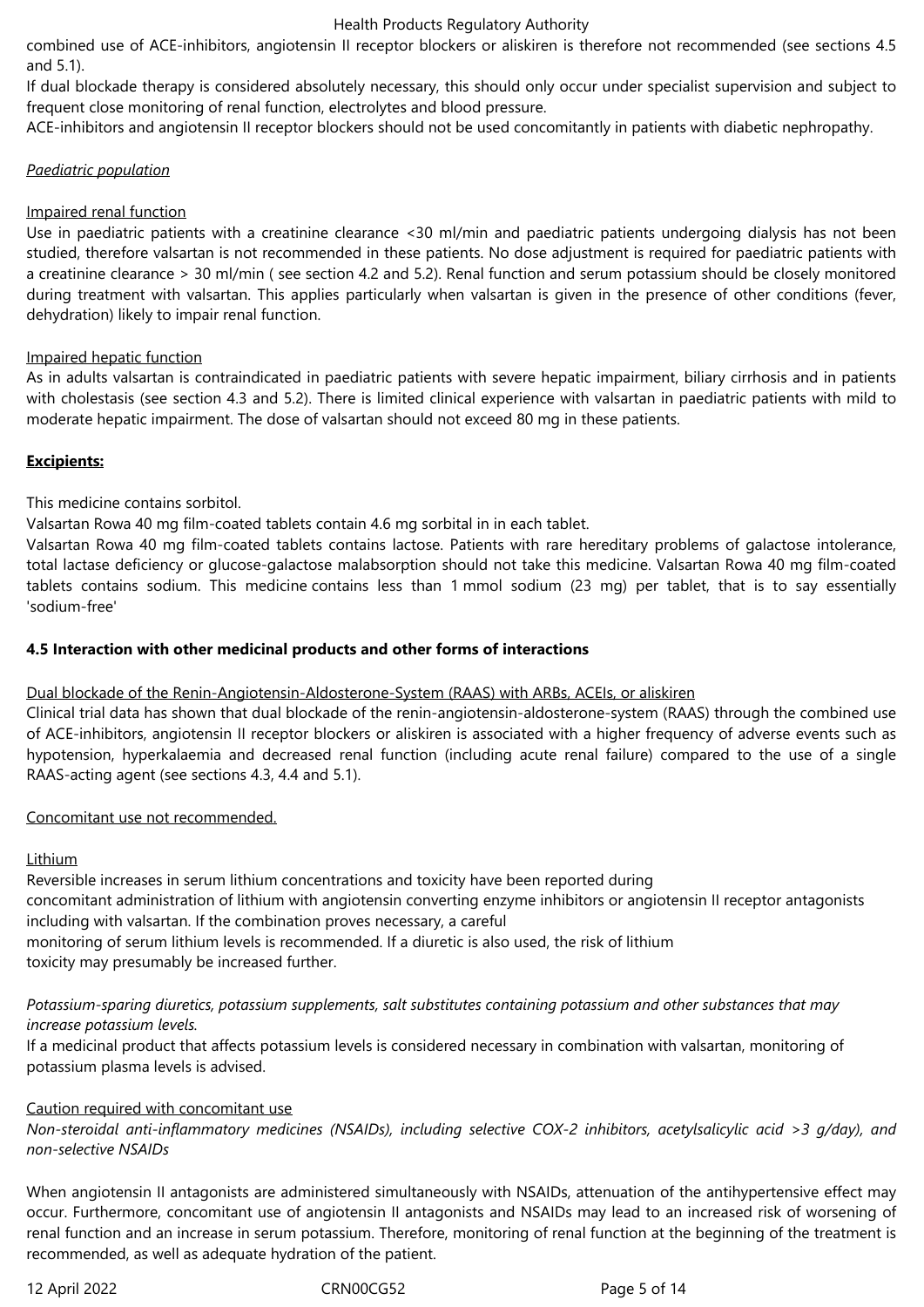combined use of ACE-inhibitors, angiotensin II receptor blockers or aliskiren is therefore not recommended (see sections 4.5 and 5.1).

If dual blockade therapy is considered absolutely necessary, this should only occur under specialist supervision and subject to frequent close monitoring of renal function, electrolytes and blood pressure.

ACE-inhibitors and angiotensin II receptor blockers should not be used concomitantly in patients with diabetic nephropathy.

### *Paediatric population*

# Impaired renal function

Use in paediatric patients with a creatinine clearance <30 ml/min and paediatric patients undergoing dialysis has not been studied, therefore valsartan is not recommended in these patients. No dose adjustment is required for paediatric patients with a creatinine clearance > 30 ml/min ( see section 4.2 and 5.2). Renal function and serum potassium should be closely monitored during treatment with valsartan. This applies particularly when valsartan is given in the presence of other conditions (fever, dehydration) likely to impair renal function.

# Impaired hepatic function

As in adults valsartan is contraindicated in paediatric patients with severe hepatic impairment, biliary cirrhosis and in patients with cholestasis (see section 4.3 and 5.2). There is limited clinical experience with valsartan in paediatric patients with mild to moderate hepatic impairment. The dose of valsartan should not exceed 80 mg in these patients.

# **Excipients:**

This medicine contains sorbitol.

Valsartan Rowa 40 mg film-coated tablets contain 4.6 mg sorbital in in each tablet.

Valsartan Rowa 40 mg film-coated tablets contains lactose. Patients with rare hereditary problems of galactose intolerance, total lactase deficiency or glucose-galactose malabsorption should not take this medicine. Valsartan Rowa 40 mg film-coated tablets contains sodium. This medicine contains less than 1 mmol sodium (23 mg) per tablet, that is to say essentially 'sodium-free'

# **4.5 Interaction with other medicinal products and other forms of interactions**

### Dual blockade of the Renin-Angiotensin-Aldosterone-System (RAAS) with ARBs, ACEIs, or aliskiren

Clinical trial data has shown that dual blockade of the renin-angiotensin-aldosterone-system (RAAS) through the combined use of ACE-inhibitors, angiotensin II receptor blockers or aliskiren is associated with a higher frequency of adverse events such as hypotension, hyperkalaemia and decreased renal function (including acute renal failure) compared to the use of a single RAAS-acting agent (see sections 4.3, 4.4 and 5.1)*.*

### Concomitant use not recommended.

### Lithium

Reversible increases in serum lithium concentrations and toxicity have been reported during concomitant administration of lithium with angiotensin converting enzyme inhibitors or angiotensin II receptor antagonists including with valsartan. If the combination proves necessary, a careful monitoring of serum lithium levels is recommended. If a diuretic is also used, the risk of lithium toxicity may presumably be increased further.

# *Potassium-sparing diuretics, potassium supplements, salt substitutes containing potassium and other substances that may increase potassium levels.*

If a medicinal product that affects potassium levels is considered necessary in combination with valsartan, monitoring of potassium plasma levels is advised.

# Caution required with concomitant use

*Non-steroidal anti-inflammatory medicines (NSAIDs), including selective COX-2 inhibitors, acetylsalicylic acid >3 g/day), and non-selective NSAIDs*

When angiotensin II antagonists are administered simultaneously with NSAIDs, attenuation of the antihypertensive effect may occur. Furthermore, concomitant use of angiotensin II antagonists and NSAIDs may lead to an increased risk of worsening of renal function and an increase in serum potassium. Therefore, monitoring of renal function at the beginning of the treatment is recommended, as well as adequate hydration of the patient.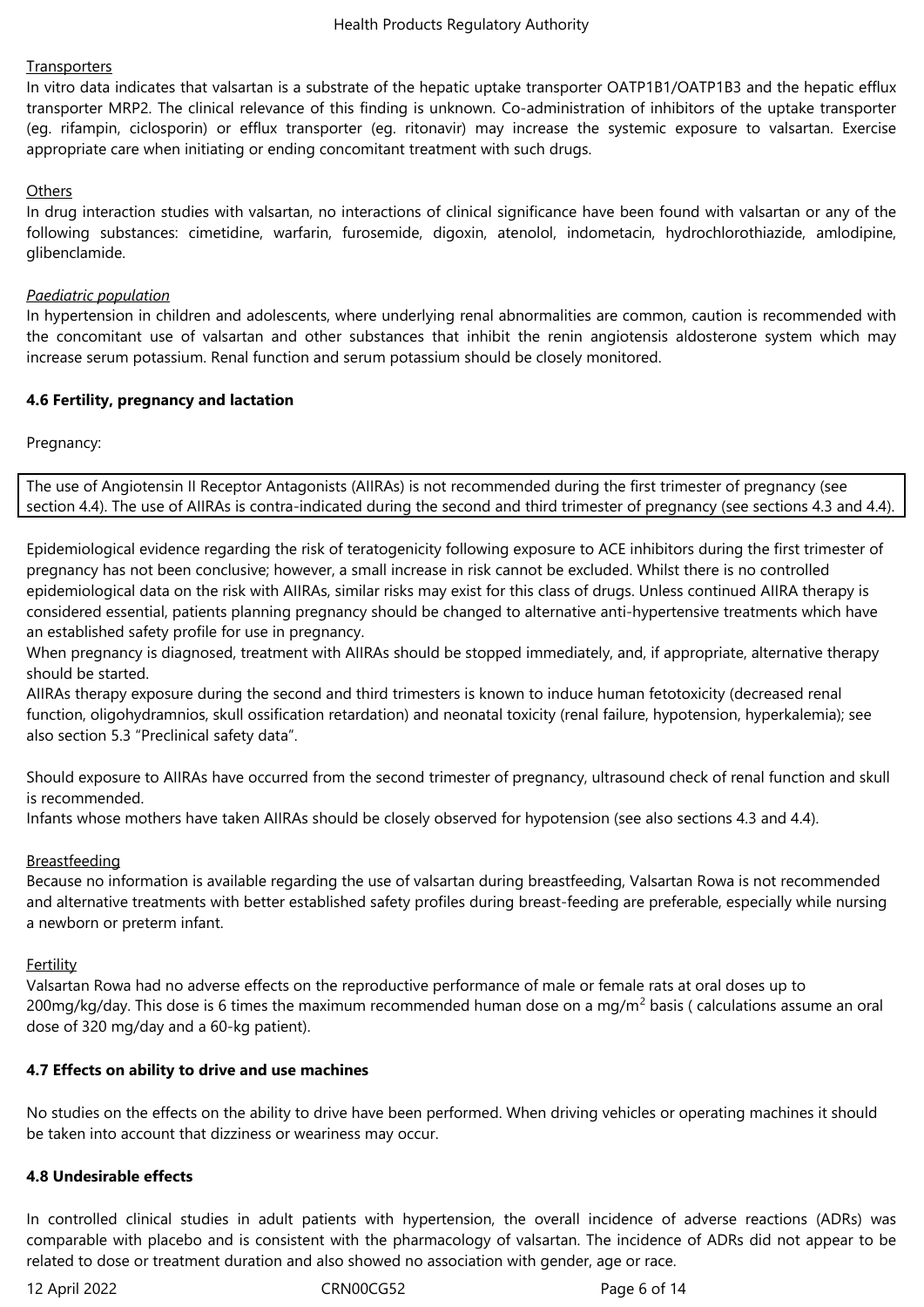# **Transporters**

In vitro data indicates that valsartan is a substrate of the hepatic uptake transporter OATP1B1/OATP1B3 and the hepatic efflux transporter MRP2. The clinical relevance of this finding is unknown. Co-administration of inhibitors of the uptake transporter (eg. rifampin, ciclosporin) or efflux transporter (eg. ritonavir) may increase the systemic exposure to valsartan. Exercise appropriate care when initiating or ending concomitant treatment with such drugs.

# **Others**

In drug interaction studies with valsartan, no interactions of clinical significance have been found with valsartan or any of the following substances: cimetidine, warfarin, furosemide, digoxin, atenolol, indometacin, hydrochlorothiazide, amlodipine, glibenclamide.

### *Paediatric population*

In hypertension in children and adolescents, where underlying renal abnormalities are common, caution is recommended with the concomitant use of valsartan and other substances that inhibit the renin angiotensis aldosterone system which may increase serum potassium. Renal function and serum potassium should be closely monitored.

# **4.6 Fertility, pregnancy and lactation**

Pregnancy:

The use of Angiotensin II Receptor Antagonists (AIIRAs) is not recommended during the first trimester of pregnancy (see section 4.4). The use of AIIRAs is contra-indicated during the second and third trimester of pregnancy (see sections 4.3 and 4.4).

Epidemiological evidence regarding the risk of teratogenicity following exposure to ACE inhibitors during the first trimester of pregnancy has not been conclusive; however, a small increase in risk cannot be excluded. Whilst there is no controlled epidemiological data on the risk with AIIRAs, similar risks may exist for this class of drugs. Unless continued AIIRA therapy is considered essential, patients planning pregnancy should be changed to alternative anti-hypertensive treatments which have an established safety profile for use in pregnancy.

When pregnancy is diagnosed, treatment with AIIRAs should be stopped immediately, and, if appropriate, alternative therapy should be started.

AIIRAs therapy exposure during the second and third trimesters is known to induce human fetotoxicity (decreased renal function, oligohydramnios, skull ossification retardation) and neonatal toxicity (renal failure, hypotension, hyperkalemia); see also section 5.3 "Preclinical safety data".

Should exposure to AIIRAs have occurred from the second trimester of pregnancy, ultrasound check of renal function and skull is recommended.

Infants whose mothers have taken AIIRAs should be closely observed for hypotension (see also sections 4.3 and 4.4).

# Breastfeeding

Because no information is available regarding the use of valsartan during breastfeeding, Valsartan Rowa is not recommended and alternative treatments with better established safety profiles during breast-feeding are preferable, especially while nursing a newborn or preterm infant.

### Fertility

Valsartan Rowa had no adverse effects on the reproductive performance of male or female rats at oral doses up to 200mg/kg/day. This dose is 6 times the maximum recommended human dose on a mg/m<sup>2</sup> basis ( calculations assume an oral dose of 320 mg/day and a 60-kg patient).

### **4.7 Effects on ability to drive and use machines**

No studies on the effects on the ability to drive have been performed. When driving vehicles or operating machines it should be taken into account that dizziness or weariness may occur.

### **4.8 Undesirable effects**

In controlled clinical studies in adult patients with hypertension, the overall incidence of adverse reactions (ADRs) was comparable with placebo and is consistent with the pharmacology of valsartan. The incidence of ADRs did not appear to be related to dose or treatment duration and also showed no association with gender, age or race.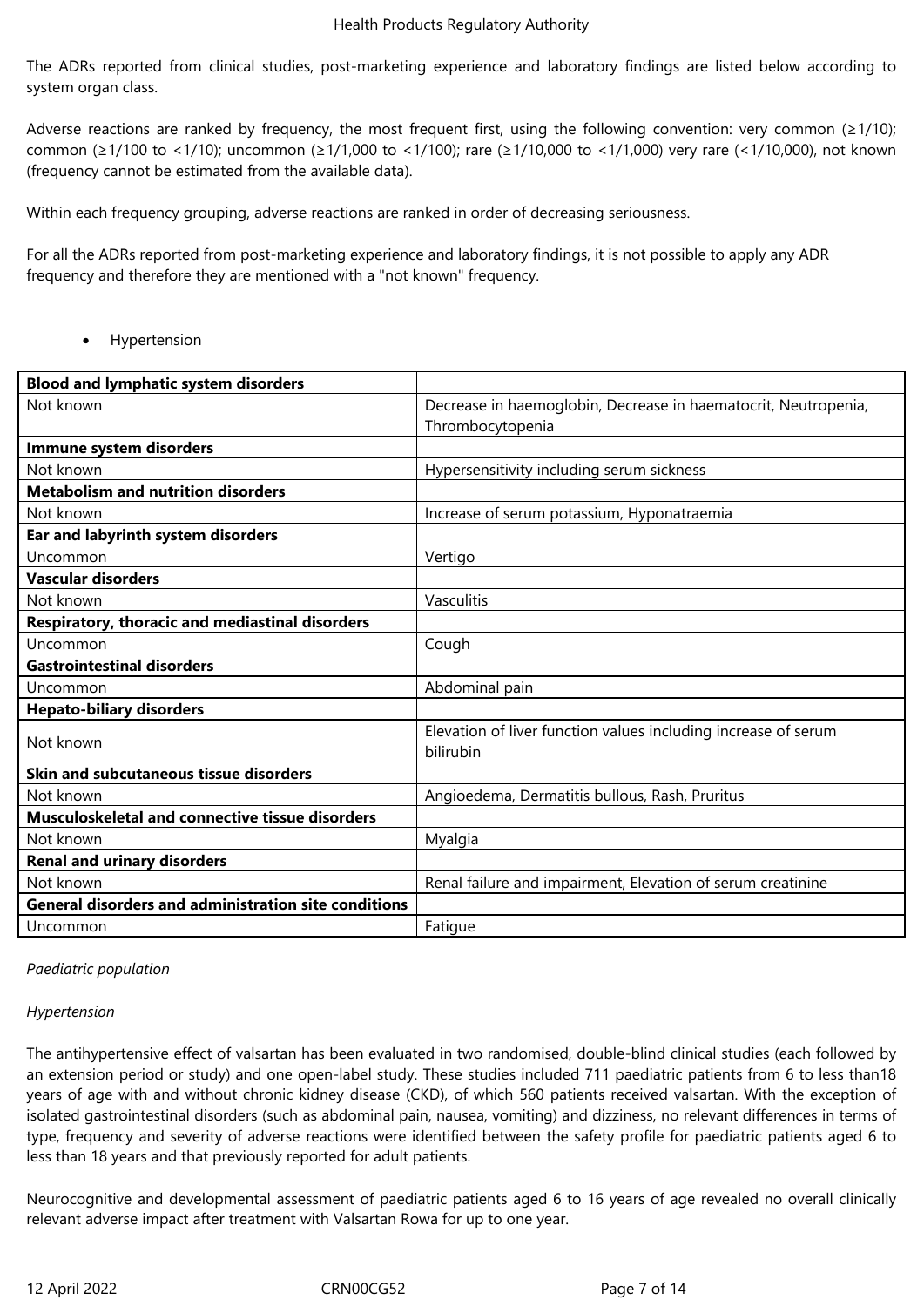The ADRs reported from clinical studies, post-marketing experience and laboratory findings are listed below according to system organ class.

Adverse reactions are ranked by frequency, the most frequent first, using the following convention: very common ( $\geq 1/10$ ); common (≥1/100 to <1/10); uncommon (≥1/1,000 to <1/100); rare (≥1/10,000 to <1/1,000) very rare (<1/10,000), not known (frequency cannot be estimated from the available data).

Within each frequency grouping, adverse reactions are ranked in order of decreasing seriousness.

For all the ADRs reported from post-marketing experience and laboratory findings, it is not possible to apply any ADR frequency and therefore they are mentioned with a "not known" frequency.

• Hypertension

| <b>Blood and lymphatic system disorders</b>                 |                                                                |
|-------------------------------------------------------------|----------------------------------------------------------------|
| Not known                                                   | Decrease in haemoglobin, Decrease in haematocrit, Neutropenia, |
|                                                             | Thrombocytopenia                                               |
| Immune system disorders                                     |                                                                |
| Not known                                                   | Hypersensitivity including serum sickness                      |
| <b>Metabolism and nutrition disorders</b>                   |                                                                |
| Not known                                                   | Increase of serum potassium, Hyponatraemia                     |
| Ear and labyrinth system disorders                          |                                                                |
| Uncommon                                                    | Vertigo                                                        |
| <b>Vascular disorders</b>                                   |                                                                |
| Not known                                                   | Vasculitis                                                     |
| Respiratory, thoracic and mediastinal disorders             |                                                                |
| Uncommon                                                    | Cough                                                          |
| <b>Gastrointestinal disorders</b>                           |                                                                |
| Uncommon                                                    | Abdominal pain                                                 |
| <b>Hepato-biliary disorders</b>                             |                                                                |
| Not known                                                   | Elevation of liver function values including increase of serum |
|                                                             | bilirubin                                                      |
| Skin and subcutaneous tissue disorders                      |                                                                |
| Not known                                                   | Angioedema, Dermatitis bullous, Rash, Pruritus                 |
| <b>Musculoskeletal and connective tissue disorders</b>      |                                                                |
|                                                             |                                                                |
| Not known                                                   | Myalgia                                                        |
| <b>Renal and urinary disorders</b>                          |                                                                |
| Not known                                                   | Renal failure and impairment, Elevation of serum creatinine    |
| <b>General disorders and administration site conditions</b> |                                                                |

### *Paediatric population*

### *Hypertension*

The antihypertensive effect of valsartan has been evaluated in two randomised, double-blind clinical studies (each followed by an extension period or study) and one open-label study. These studies included 711 paediatric patients from 6 to less than18 years of age with and without chronic kidney disease (CKD), of which 560 patients received valsartan. With the exception of isolated gastrointestinal disorders (such as abdominal pain, nausea, vomiting) and dizziness, no relevant differences in terms of type, frequency and severity of adverse reactions were identified between the safety profile for paediatric patients aged 6 to less than 18 years and that previously reported for adult patients.

Neurocognitive and developmental assessment of paediatric patients aged 6 to 16 years of age revealed no overall clinically relevant adverse impact after treatment with Valsartan Rowa for up to one year.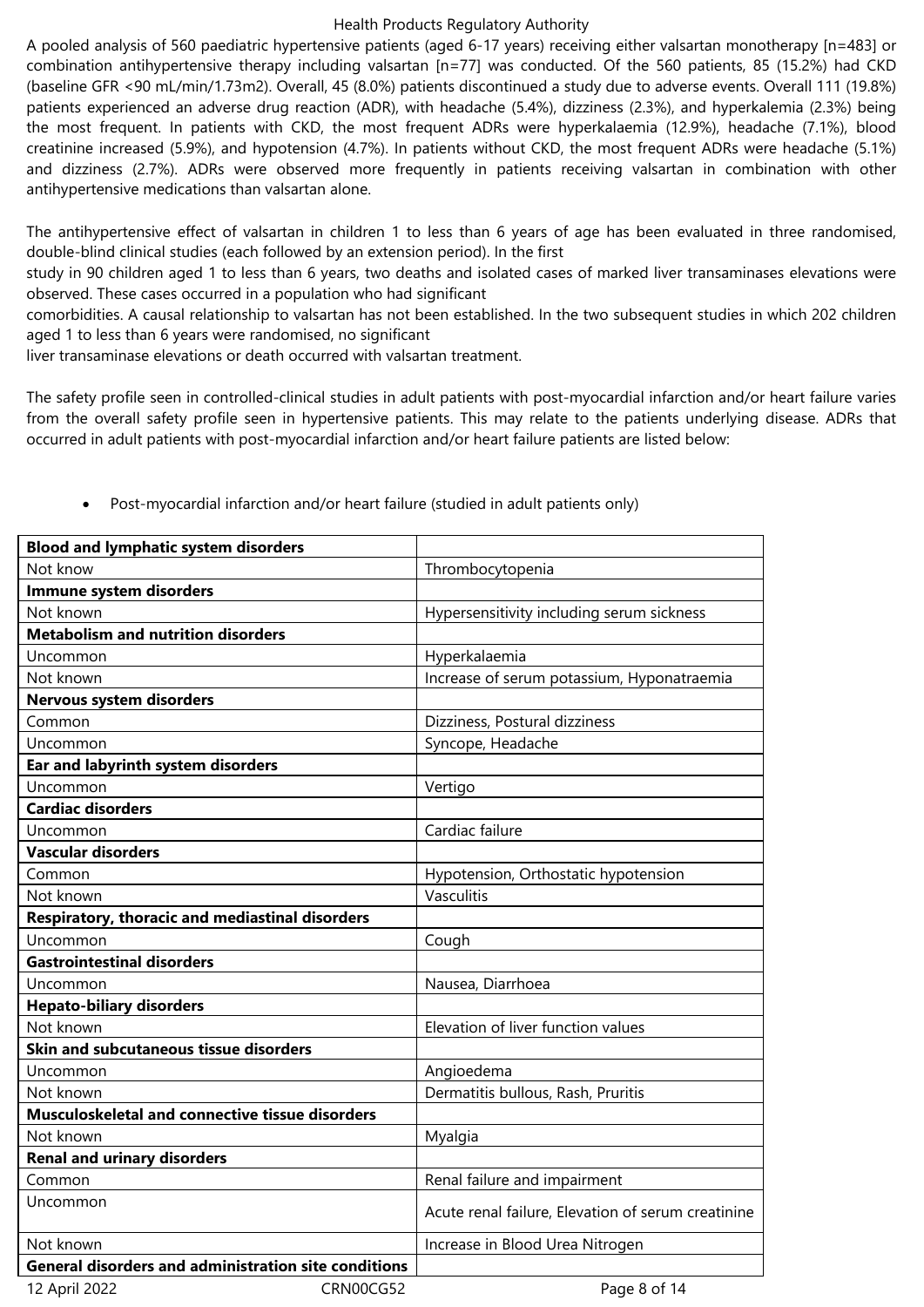A pooled analysis of 560 paediatric hypertensive patients (aged 6-17 years) receiving either valsartan monotherapy [n=483] or combination antihypertensive therapy including valsartan [n=77] was conducted. Of the 560 patients, 85 (15.2%) had CKD (baseline GFR <90 mL/min/1.73m2). Overall, 45 (8.0%) patients discontinued a study due to adverse events. Overall 111 (19.8%) patients experienced an adverse drug reaction (ADR), with headache (5.4%), dizziness (2.3%), and hyperkalemia (2.3%) being the most frequent. In patients with CKD, the most frequent ADRs were hyperkalaemia (12.9%), headache (7.1%), blood creatinine increased (5.9%), and hypotension (4.7%). In patients without CKD, the most frequent ADRs were headache (5.1%) and dizziness (2.7%). ADRs were observed more frequently in patients receiving valsartan in combination with other antihypertensive medications than valsartan alone.

The antihypertensive effect of valsartan in children 1 to less than 6 years of age has been evaluated in three randomised, double-blind clinical studies (each followed by an extension period). In the first

study in 90 children aged 1 to less than 6 years, two deaths and isolated cases of marked liver transaminases elevations were observed. These cases occurred in a population who had significant

comorbidities. A causal relationship to valsartan has not been established. In the two subsequent studies in which 202 children aged 1 to less than 6 years were randomised, no significant

liver transaminase elevations or death occurred with valsartan treatment.

The safety profile seen in controlled-clinical studies in adult patients with post-myocardial infarction and/or heart failure varies from the overall safety profile seen in hypertensive patients. This may relate to the patients underlying disease. ADRs that occurred in adult patients with post-myocardial infarction and/or heart failure patients are listed below:

| <b>Blood and lymphatic system disorders</b>                 |                                                    |
|-------------------------------------------------------------|----------------------------------------------------|
| Not know                                                    | Thrombocytopenia                                   |
| Immune system disorders                                     |                                                    |
| Not known                                                   | Hypersensitivity including serum sickness          |
| <b>Metabolism and nutrition disorders</b>                   |                                                    |
| Uncommon                                                    | Hyperkalaemia                                      |
| Not known                                                   | Increase of serum potassium, Hyponatraemia         |
| <b>Nervous system disorders</b>                             |                                                    |
| Common                                                      | Dizziness, Postural dizziness                      |
| Uncommon                                                    | Syncope, Headache                                  |
| Ear and labyrinth system disorders                          |                                                    |
| Uncommon                                                    | Vertigo                                            |
| <b>Cardiac disorders</b>                                    |                                                    |
| Uncommon                                                    | Cardiac failure                                    |
| <b>Vascular disorders</b>                                   |                                                    |
| Common                                                      | Hypotension, Orthostatic hypotension               |
| Not known                                                   | Vasculitis                                         |
| Respiratory, thoracic and mediastinal disorders             |                                                    |
| Uncommon                                                    | Cough                                              |
| <b>Gastrointestinal disorders</b>                           |                                                    |
| Uncommon                                                    | Nausea, Diarrhoea                                  |
| <b>Hepato-biliary disorders</b>                             |                                                    |
| Not known                                                   | Elevation of liver function values                 |
| Skin and subcutaneous tissue disorders                      |                                                    |
| Uncommon                                                    | Angioedema                                         |
| Not known                                                   | Dermatitis bullous, Rash, Pruritis                 |
| Musculoskeletal and connective tissue disorders             |                                                    |
| Not known                                                   | Myalgia                                            |
| <b>Renal and urinary disorders</b>                          |                                                    |
| Common                                                      | Renal failure and impairment                       |
| Uncommon                                                    | Acute renal failure, Elevation of serum creatinine |
| Not known                                                   | Increase in Blood Urea Nitrogen                    |
| <b>General disorders and administration site conditions</b> |                                                    |
| 12 April 2022                                               | CRN00CG52<br>Page 8 of 14                          |

Post-myocardial infarction and/or heart failure (studied in adult patients only)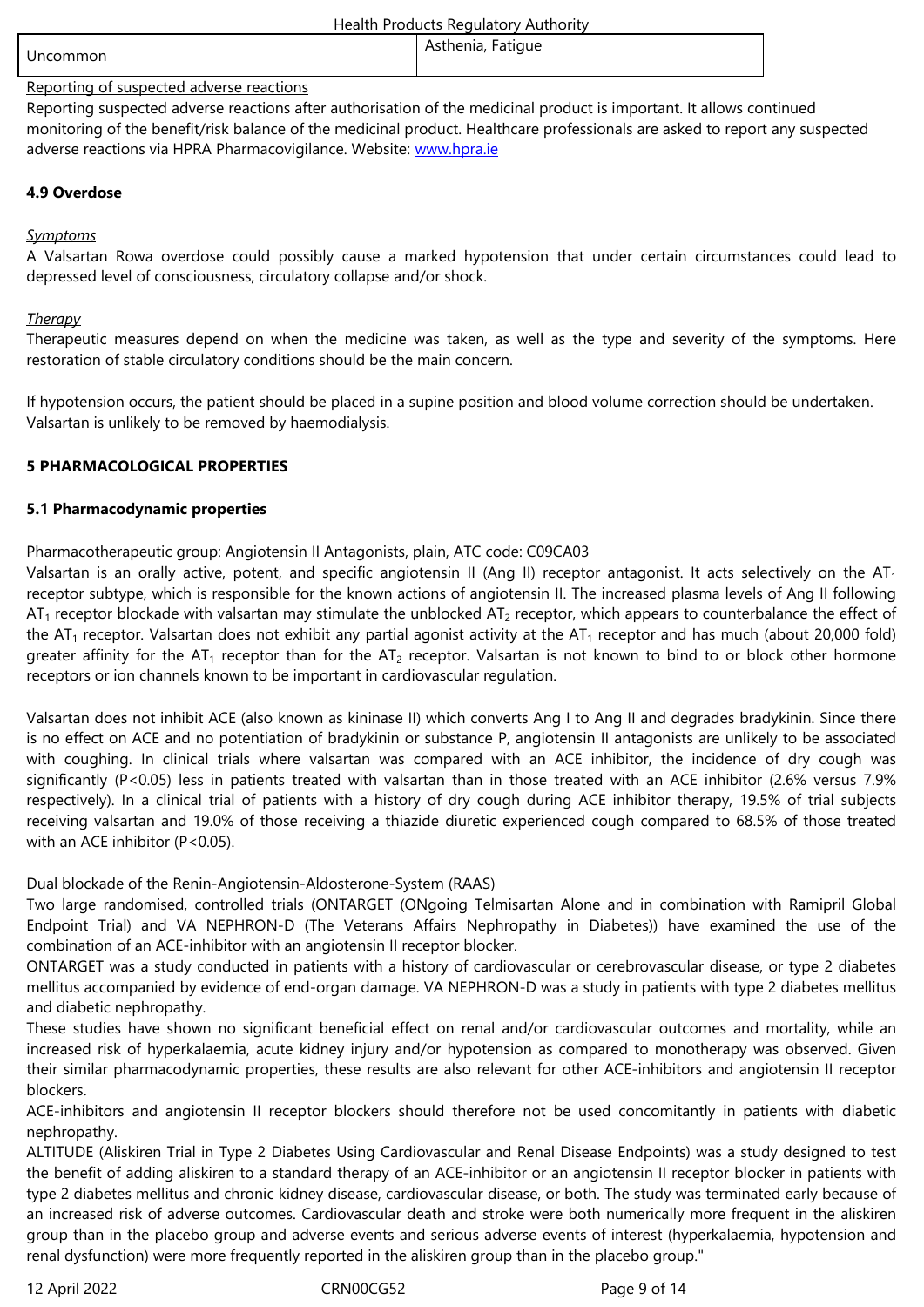#### Reporting of suspected adverse reactions

Reporting suspected adverse reactions after authorisation of the medicinal product is important. It allows continued monitoring of the benefit/risk balance of the medicinal product. Healthcare professionals are asked to report any suspected adverse reactions via HPRA Pharmacovigilance. Website: www.hpra.ie

# **4.9 Overdose**

# *Symptoms*

A Valsartan Rowa overdose could possibly cause a marked hypotension that under certain circumstances could lead to depressed level of consciousness, circulatory collapse and/or shock.

### *Therapy*

Therapeutic measures depend on when the medicine was taken, as well as the type and severity of the symptoms. Here restoration of stable circulatory conditions should be the main concern.

If hypotension occurs, the patient should be placed in a supine position and blood volume correction should be undertaken. Valsartan is unlikely to be removed by haemodialysis.

# **5 PHARMACOLOGICAL PROPERTIES**

# **5.1 Pharmacodynamic properties**

# Pharmacotherapeutic group: Angiotensin II Antagonists, plain, ATC code: C09CA03

Valsartan is an orally active, potent, and specific angiotensin II (Ang II) receptor antagonist. It acts selectively on the  $AT<sub>1</sub>$ receptor subtype, which is responsible for the known actions of angiotensin II. The increased plasma levels of Ang II following  $AT_1$  receptor blockade with valsartan may stimulate the unblocked  $AT_2$  receptor, which appears to counterbalance the effect of the AT<sub>1</sub> receptor. Valsartan does not exhibit any partial agonist activity at the AT<sub>1</sub> receptor and has much (about 20,000 fold) greater affinity for the AT<sub>1</sub> receptor than for the AT<sub>2</sub> receptor. Valsartan is not known to bind to or block other hormone receptors or ion channels known to be important in cardiovascular regulation.

Valsartan does not inhibit ACE (also known as kininase II) which converts Ang I to Ang II and degrades bradykinin. Since there is no effect on ACE and no potentiation of bradykinin or substance P, angiotensin II antagonists are unlikely to be associated with coughing. In clinical trials where valsartan was compared with an ACE inhibitor, the incidence of dry cough was significantly (P<0.05) less in patients treated with valsartan than in those treated with an ACE inhibitor (2.6% versus 7.9% respectively). In a clinical trial of patients with a history of dry cough during ACE inhibitor therapy, 19.5% of trial subjects receiving valsartan and 19.0% of those receiving a thiazide diuretic experienced cough compared to 68.5% of those treated with an ACE inhibitor (P<0.05).

### Dual blockade of the Renin-Angiotensin-Aldosterone-System (RAAS)

Two large randomised, controlled trials (ONTARGET (ONgoing Telmisartan Alone and in combination with Ramipril Global Endpoint Trial) and VA NEPHRON-D (The Veterans Affairs Nephropathy in Diabetes)) have examined the use of the combination of an ACE-inhibitor with an angiotensin II receptor blocker.

ONTARGET was a study conducted in patients with a history of cardiovascular or cerebrovascular disease, or type 2 diabetes mellitus accompanied by evidence of end-organ damage. VA NEPHRON-D was a study in patients with type 2 diabetes mellitus and diabetic nephropathy.

These studies have shown no significant beneficial effect on renal and/or cardiovascular outcomes and mortality, while an increased risk of hyperkalaemia, acute kidney injury and/or hypotension as compared to monotherapy was observed. Given their similar pharmacodynamic properties, these results are also relevant for other ACE-inhibitors and angiotensin II receptor blockers.

ACE-inhibitors and angiotensin II receptor blockers should therefore not be used concomitantly in patients with diabetic nephropathy.

ALTITUDE (Aliskiren Trial in Type 2 Diabetes Using Cardiovascular and Renal Disease Endpoints) was a study designed to test the benefit of adding aliskiren to a standard therapy of an ACE-inhibitor or an angiotensin II receptor blocker in patients with type 2 diabetes mellitus and chronic kidney disease, cardiovascular disease, or both. The study was terminated early because of an increased risk of adverse outcomes. Cardiovascular death and stroke were both numerically more frequent in the aliskiren group than in the placebo group and adverse events and serious adverse events of interest (hyperkalaemia, hypotension and renal dysfunction) were more frequently reported in the aliskiren group than in the placebo group."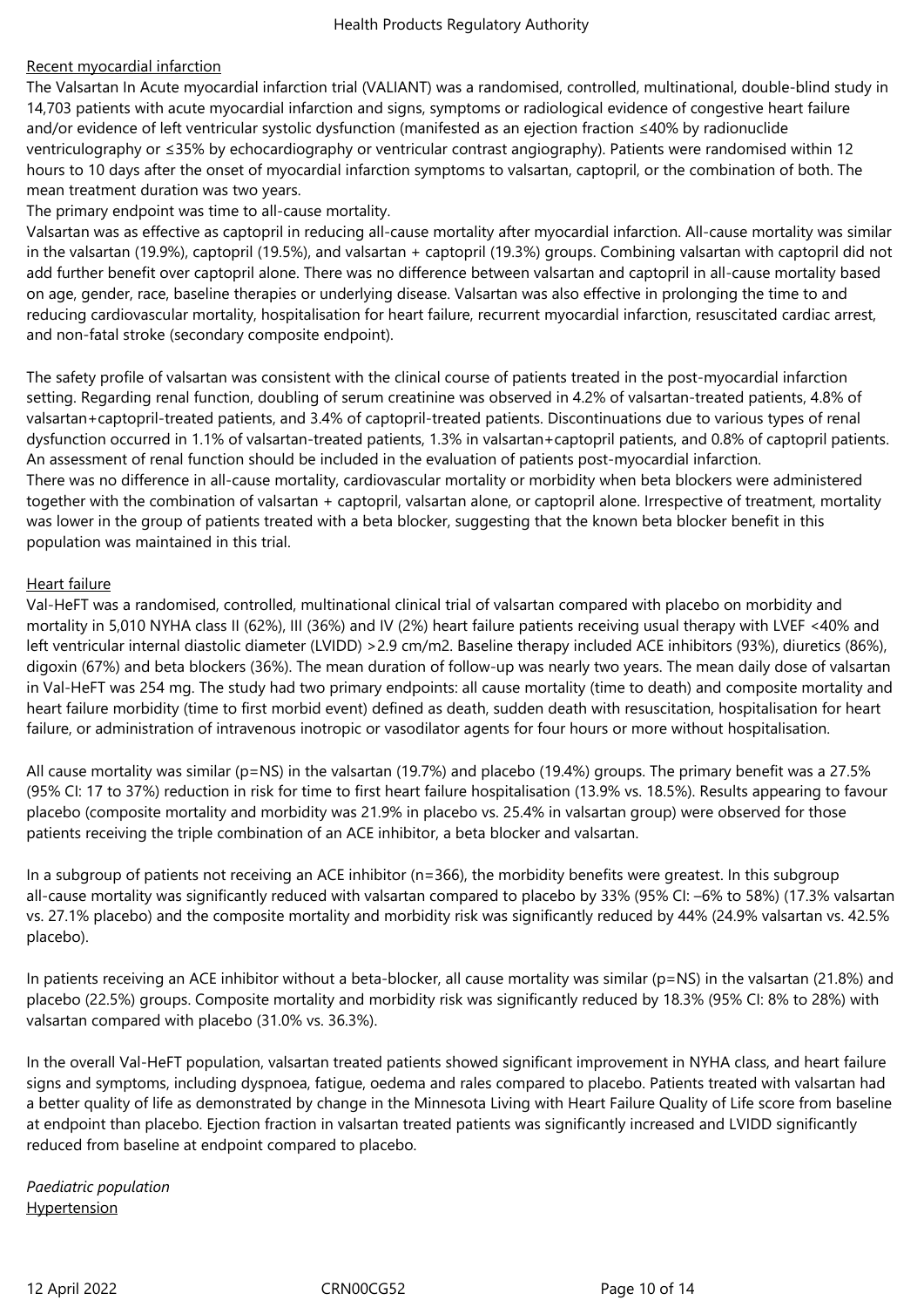# Recent myocardial infarction

The Valsartan In Acute myocardial infarction trial (VALIANT) was a randomised, controlled, multinational, double-blind study in 14,703 patients with acute myocardial infarction and signs, symptoms or radiological evidence of congestive heart failure and/or evidence of left ventricular systolic dysfunction (manifested as an ejection fraction ≤40% by radionuclide ventriculography or ≤35% by echocardiography or ventricular contrast angiography). Patients were randomised within 12 hours to 10 days after the onset of myocardial infarction symptoms to valsartan, captopril, or the combination of both. The mean treatment duration was two years.

The primary endpoint was time to all-cause mortality.

Valsartan was as effective as captopril in reducing all-cause mortality after myocardial infarction. All-cause mortality was similar in the valsartan (19.9%), captopril (19.5%), and valsartan + captopril (19.3%) groups. Combining valsartan with captopril did not add further benefit over captopril alone. There was no difference between valsartan and captopril in all-cause mortality based on age, gender, race, baseline therapies or underlying disease. Valsartan was also effective in prolonging the time to and reducing cardiovascular mortality, hospitalisation for heart failure, recurrent myocardial infarction, resuscitated cardiac arrest, and non-fatal stroke (secondary composite endpoint).

The safety profile of valsartan was consistent with the clinical course of patients treated in the post-myocardial infarction setting. Regarding renal function, doubling of serum creatinine was observed in 4.2% of valsartan-treated patients, 4.8% of valsartan+captopril-treated patients, and 3.4% of captopril-treated patients. Discontinuations due to various types of renal dysfunction occurred in 1.1% of valsartan-treated patients, 1.3% in valsartan+captopril patients, and 0.8% of captopril patients. An assessment of renal function should be included in the evaluation of patients post-myocardial infarction. There was no difference in all-cause mortality, cardiovascular mortality or morbidity when beta blockers were administered together with the combination of valsartan + captopril, valsartan alone, or captopril alone. Irrespective of treatment, mortality was lower in the group of patients treated with a beta blocker, suggesting that the known beta blocker benefit in this population was maintained in this trial.

### Heart failure

Val-HeFT was a randomised, controlled, multinational clinical trial of valsartan compared with placebo on morbidity and mortality in 5,010 NYHA class II (62%), III (36%) and IV (2%) heart failure patients receiving usual therapy with LVEF <40% and left ventricular internal diastolic diameter (LVIDD) >2.9 cm/m2. Baseline therapy included ACE inhibitors (93%), diuretics (86%), digoxin (67%) and beta blockers (36%). The mean duration of follow-up was nearly two years. The mean daily dose of valsartan in Val-HeFT was 254 mg. The study had two primary endpoints: all cause mortality (time to death) and composite mortality and heart failure morbidity (time to first morbid event) defined as death, sudden death with resuscitation, hospitalisation for heart failure, or administration of intravenous inotropic or vasodilator agents for four hours or more without hospitalisation.

All cause mortality was similar (p=NS) in the valsartan (19.7%) and placebo (19.4%) groups. The primary benefit was a 27.5% (95% CI: 17 to 37%) reduction in risk for time to first heart failure hospitalisation (13.9% vs. 18.5%). Results appearing to favour placebo (composite mortality and morbidity was 21.9% in placebo vs. 25.4% in valsartan group) were observed for those patients receiving the triple combination of an ACE inhibitor, a beta blocker and valsartan.

In a subgroup of patients not receiving an ACE inhibitor (n=366), the morbidity benefits were greatest. In this subgroup all-cause mortality was significantly reduced with valsartan compared to placebo by 33% (95% CI: –6% to 58%) (17.3% valsartan vs. 27.1% placebo) and the composite mortality and morbidity risk was significantly reduced by 44% (24.9% valsartan vs. 42.5% placebo).

In patients receiving an ACE inhibitor without a beta-blocker, all cause mortality was similar (p=NS) in the valsartan (21.8%) and placebo (22.5%) groups. Composite mortality and morbidity risk was significantly reduced by 18.3% (95% CI: 8% to 28%) with valsartan compared with placebo (31.0% vs. 36.3%).

In the overall Val-HeFT population, valsartan treated patients showed significant improvement in NYHA class, and heart failure signs and symptoms, including dyspnoea, fatigue, oedema and rales compared to placebo. Patients treated with valsartan had a better quality of life as demonstrated by change in the Minnesota Living with Heart Failure Quality of Life score from baseline at endpoint than placebo. Ejection fraction in valsartan treated patients was significantly increased and LVIDD significantly reduced from baseline at endpoint compared to placebo.

*Paediatric population* **Hypertension**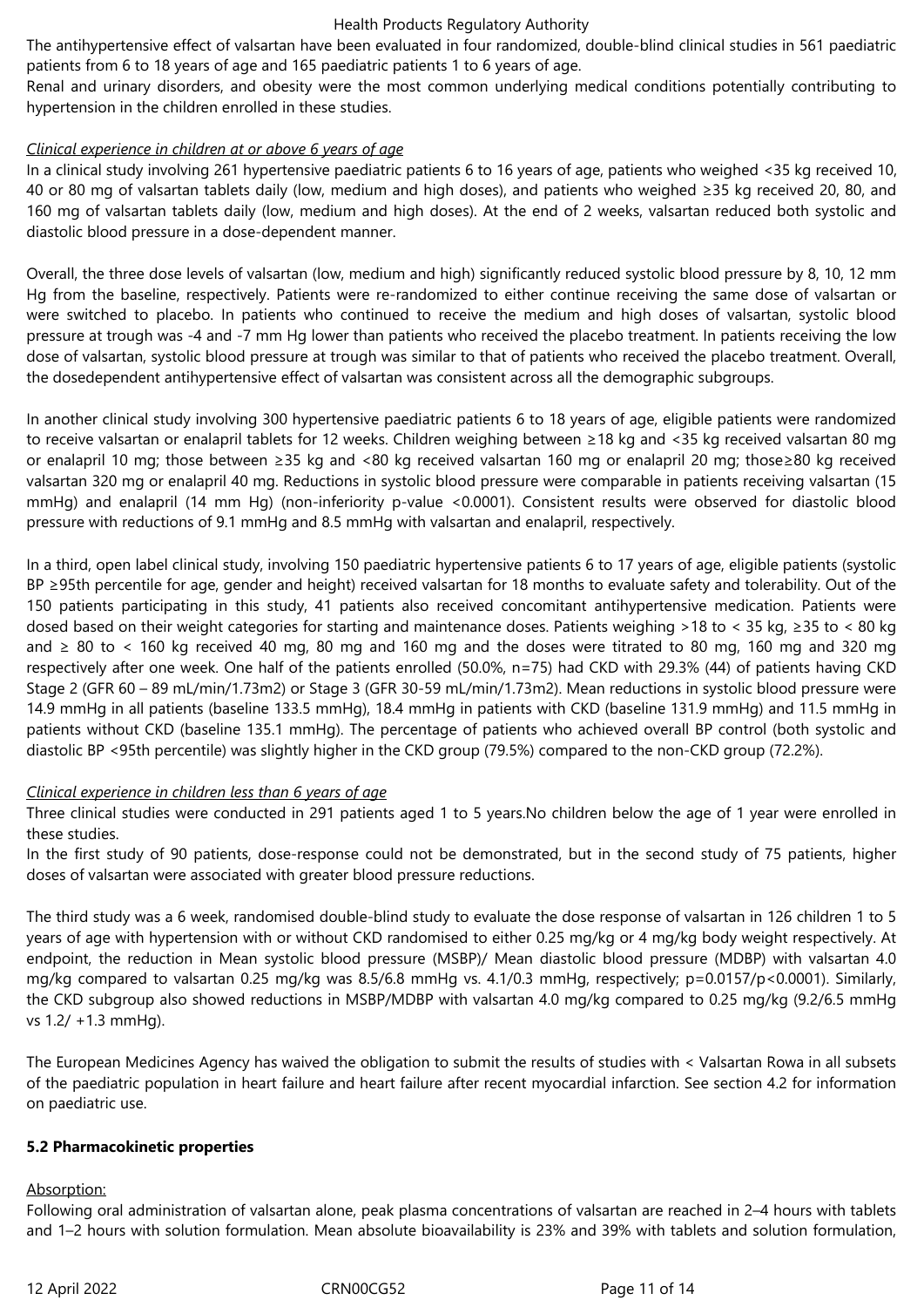The antihypertensive effect of valsartan have been evaluated in four randomized, double-blind clinical studies in 561 paediatric patients from 6 to 18 years of age and 165 paediatric patients 1 to 6 years of age.

Renal and urinary disorders, and obesity were the most common underlying medical conditions potentially contributing to hypertension in the children enrolled in these studies.

### *Clinical experience in children at or above 6 years of age*

In a clinical study involving 261 hypertensive paediatric patients 6 to 16 years of age, patients who weighed <35 kg received 10, 40 or 80 mg of valsartan tablets daily (low, medium and high doses), and patients who weighed ≥35 kg received 20, 80, and 160 mg of valsartan tablets daily (low, medium and high doses). At the end of 2 weeks, valsartan reduced both systolic and diastolic blood pressure in a dose-dependent manner.

Overall, the three dose levels of valsartan (low, medium and high) significantly reduced systolic blood pressure by 8, 10, 12 mm Hg from the baseline, respectively. Patients were re-randomized to either continue receiving the same dose of valsartan or were switched to placebo. In patients who continued to receive the medium and high doses of valsartan, systolic blood pressure at trough was -4 and -7 mm Hg lower than patients who received the placebo treatment. In patients receiving the low dose of valsartan, systolic blood pressure at trough was similar to that of patients who received the placebo treatment. Overall, the dosedependent antihypertensive effect of valsartan was consistent across all the demographic subgroups.

In another clinical study involving 300 hypertensive paediatric patients 6 to 18 years of age, eligible patients were randomized to receive valsartan or enalapril tablets for 12 weeks. Children weighing between ≥18 kg and <35 kg received valsartan 80 mg or enalapril 10 mg; those between ≥35 kg and <80 kg received valsartan 160 mg or enalapril 20 mg; those≥80 kg received valsartan 320 mg or enalapril 40 mg. Reductions in systolic blood pressure were comparable in patients receiving valsartan (15 mmHg) and enalapril (14 mm Hg) (non-inferiority p-value <0.0001). Consistent results were observed for diastolic blood pressure with reductions of 9.1 mmHg and 8.5 mmHg with valsartan and enalapril, respectively.

In a third, open label clinical study, involving 150 paediatric hypertensive patients 6 to 17 years of age, eligible patients (systolic BP ≥95th percentile for age, gender and height) received valsartan for 18 months to evaluate safety and tolerability. Out of the 150 patients participating in this study, 41 patients also received concomitant antihypertensive medication. Patients were dosed based on their weight categories for starting and maintenance doses. Patients weighing >18 to < 35 kg, ≥35 to < 80 kg and ≥ 80 to < 160 kg received 40 mg, 80 mg and 160 mg and the doses were titrated to 80 mg, 160 mg and 320 mg respectively after one week. One half of the patients enrolled (50.0%, n=75) had CKD with 29.3% (44) of patients having CKD Stage 2 (GFR 60 – 89 mL/min/1.73m2) or Stage 3 (GFR 30-59 mL/min/1.73m2). Mean reductions in systolic blood pressure were 14.9 mmHg in all patients (baseline 133.5 mmHg), 18.4 mmHg in patients with CKD (baseline 131.9 mmHg) and 11.5 mmHg in patients without CKD (baseline 135.1 mmHg). The percentage of patients who achieved overall BP control (both systolic and diastolic BP <95th percentile) was slightly higher in the CKD group (79.5%) compared to the non-CKD group (72.2%).

### *Clinical experience in children less than 6 years of age*

Three clinical studies were conducted in 291 patients aged 1 to 5 years.No children below the age of 1 year were enrolled in these studies.

In the first study of 90 patients, dose-response could not be demonstrated, but in the second study of 75 patients, higher doses of valsartan were associated with greater blood pressure reductions.

The third study was a 6 week, randomised double-blind study to evaluate the dose response of valsartan in 126 children 1 to 5 years of age with hypertension with or without CKD randomised to either 0.25 mg/kg or 4 mg/kg body weight respectively. At endpoint, the reduction in Mean systolic blood pressure (MSBP)/ Mean diastolic blood pressure (MDBP) with valsartan 4.0 mg/kg compared to valsartan 0.25 mg/kg was 8.5/6.8 mmHg vs. 4.1/0.3 mmHg, respectively; p=0.0157/p<0.0001). Similarly, the CKD subgroup also showed reductions in MSBP/MDBP with valsartan 4.0 mg/kg compared to 0.25 mg/kg (9.2/6.5 mmHg vs 1.2/ +1.3 mmHg).

The European Medicines Agency has waived the obligation to submit the results of studies with < Valsartan Rowa in all subsets of the paediatric population in heart failure and heart failure after recent myocardial infarction. See section 4.2 for information on paediatric use.

# **5.2 Pharmacokinetic properties**

### Absorption:

Following oral administration of valsartan alone, peak plasma concentrations of valsartan are reached in 2–4 hours with tablets and 1–2 hours with solution formulation. Mean absolute bioavailability is 23% and 39% with tablets and solution formulation,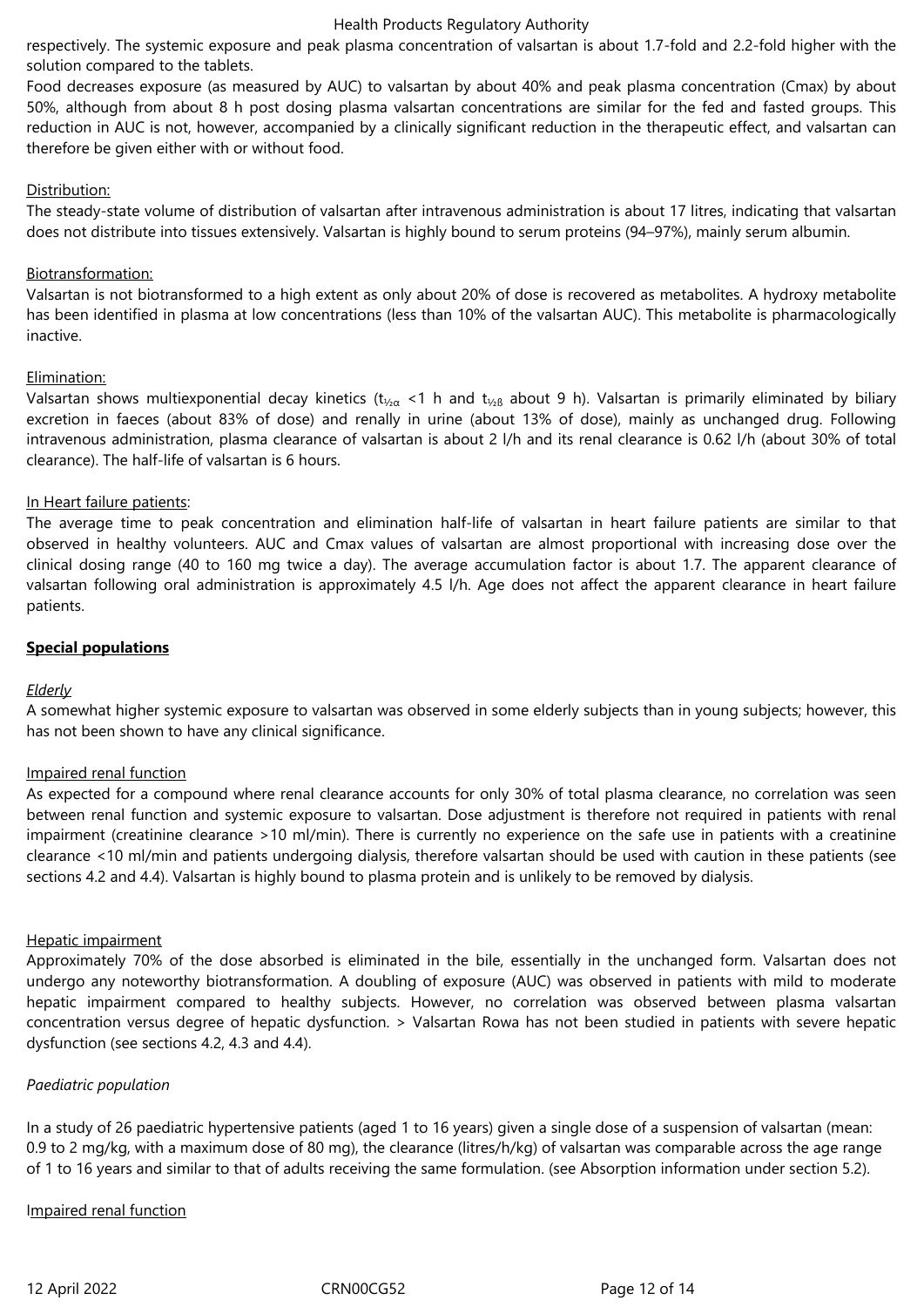respectively. The systemic exposure and peak plasma concentration of valsartan is about 1.7-fold and 2.2-fold higher with the solution compared to the tablets.

Food decreases exposure (as measured by AUC) to valsartan by about 40% and peak plasma concentration (Cmax) by about 50%, although from about 8 h post dosing plasma valsartan concentrations are similar for the fed and fasted groups. This reduction in AUC is not, however, accompanied by a clinically significant reduction in the therapeutic effect, and valsartan can therefore be given either with or without food.

### Distribution:

The steady-state volume of distribution of valsartan after intravenous administration is about 17 litres, indicating that valsartan does not distribute into tissues extensively. Valsartan is highly bound to serum proteins (94–97%), mainly serum albumin.

# Biotransformation:

Valsartan is not biotransformed to a high extent as only about 20% of dose is recovered as metabolites. A hydroxy metabolite has been identified in plasma at low concentrations (less than 10% of the valsartan AUC). This metabolite is pharmacologically inactive.

# Elimination:

Valsartan shows multiexponential decay kinetics ( $t_{\frac{1}{2}a}$  <1 h and  $t_{\frac{1}{2}b}$  about 9 h). Valsartan is primarily eliminated by biliary excretion in faeces (about 83% of dose) and renally in urine (about 13% of dose), mainly as unchanged drug. Following intravenous administration, plasma clearance of valsartan is about 2 l/h and its renal clearance is 0.62 l/h (about 30% of total clearance). The half-life of valsartan is 6 hours.

# In Heart failure patients:

The average time to peak concentration and elimination half-life of valsartan in heart failure patients are similar to that observed in healthy volunteers. AUC and Cmax values of valsartan are almost proportional with increasing dose over the clinical dosing range (40 to 160 mg twice a day). The average accumulation factor is about 1.7. The apparent clearance of valsartan following oral administration is approximately 4.5 l/h. Age does not affect the apparent clearance in heart failure patients.

# **Special populations**

# *Elderly*

A somewhat higher systemic exposure to valsartan was observed in some elderly subjects than in young subjects; however, this has not been shown to have any clinical significance.

### Impaired renal function

As expected for a compound where renal clearance accounts for only 30% of total plasma clearance, no correlation was seen between renal function and systemic exposure to valsartan. Dose adjustment is therefore not required in patients with renal impairment (creatinine clearance >10 ml/min). There is currently no experience on the safe use in patients with a creatinine clearance <10 ml/min and patients undergoing dialysis, therefore valsartan should be used with caution in these patients (see sections 4.2 and 4.4). Valsartan is highly bound to plasma protein and is unlikely to be removed by dialysis.

### Hepatic impairment

Approximately 70% of the dose absorbed is eliminated in the bile, essentially in the unchanged form. Valsartan does not undergo any noteworthy biotransformation. A doubling of exposure (AUC) was observed in patients with mild to moderate hepatic impairment compared to healthy subjects. However, no correlation was observed between plasma valsartan concentration versus degree of hepatic dysfunction. > Valsartan Rowa has not been studied in patients with severe hepatic dysfunction (see sections 4.2, 4.3 and 4.4).

# *Paediatric population*

In a study of 26 paediatric hypertensive patients (aged 1 to 16 years) given a single dose of a suspension of valsartan (mean: 0.9 to 2 mg/kg, with a maximum dose of 80 mg), the clearance (litres/h/kg) of valsartan was comparable across the age range of 1 to 16 years and similar to that of adults receiving the same formulation. (see Absorption information under section 5.2).

### Impaired renal function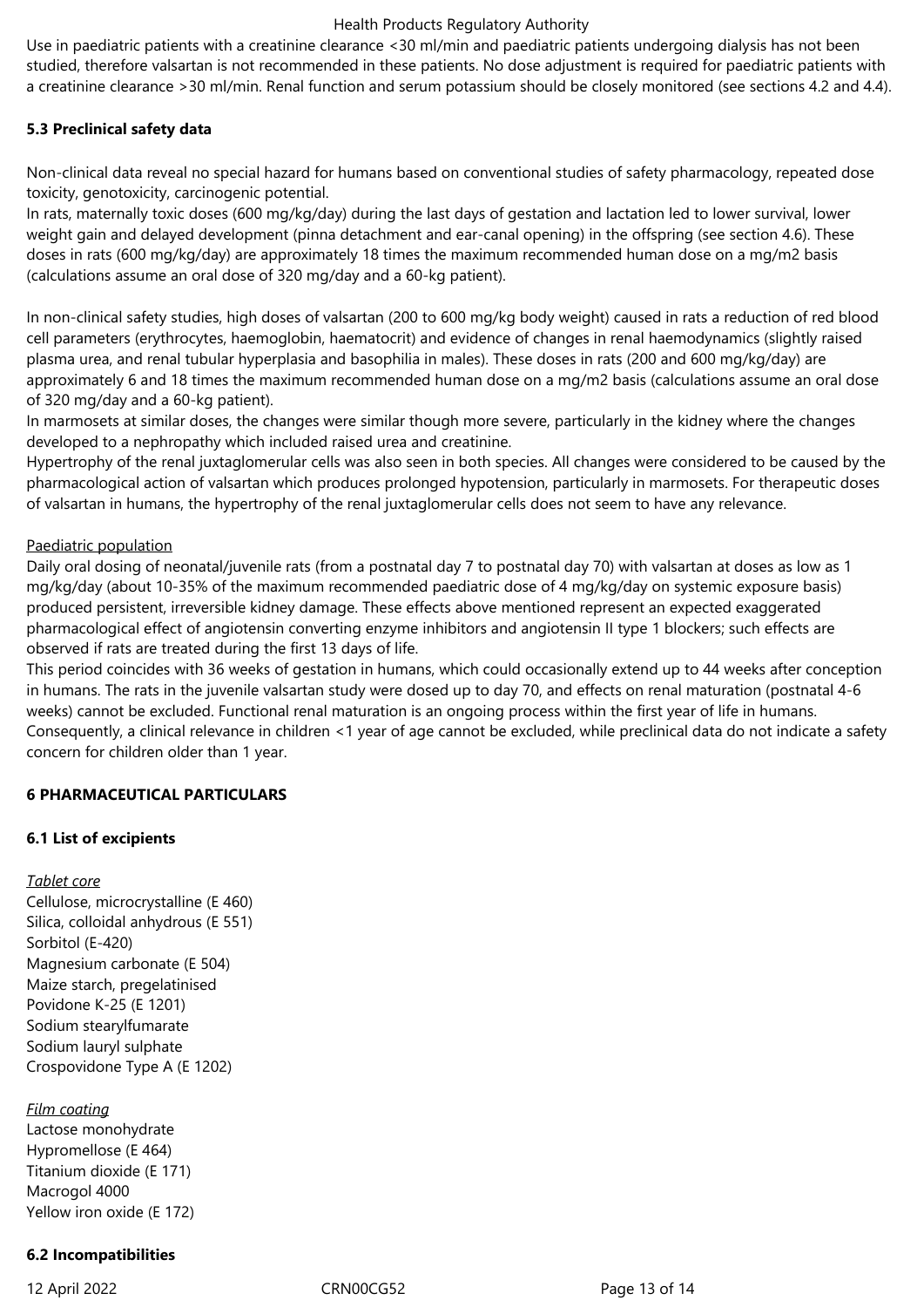Use in paediatric patients with a creatinine clearance <30 ml/min and paediatric patients undergoing dialysis has not been studied, therefore valsartan is not recommended in these patients. No dose adjustment is required for paediatric patients with a creatinine clearance >30 ml/min. Renal function and serum potassium should be closely monitored (see sections 4.2 and 4.4).

# **5.3 Preclinical safety data**

Non-clinical data reveal no special hazard for humans based on conventional studies of safety pharmacology, repeated dose toxicity, genotoxicity, carcinogenic potential.

In rats, maternally toxic doses (600 mg/kg/day) during the last days of gestation and lactation led to lower survival, lower weight gain and delayed development (pinna detachment and ear-canal opening) in the offspring (see section 4.6). These doses in rats (600 mg/kg/day) are approximately 18 times the maximum recommended human dose on a mg/m2 basis (calculations assume an oral dose of 320 mg/day and a 60-kg patient).

In non-clinical safety studies, high doses of valsartan (200 to 600 mg/kg body weight) caused in rats a reduction of red blood cell parameters (erythrocytes, haemoglobin, haematocrit) and evidence of changes in renal haemodynamics (slightly raised plasma urea, and renal tubular hyperplasia and basophilia in males). These doses in rats (200 and 600 mg/kg/day) are approximately 6 and 18 times the maximum recommended human dose on a mg/m2 basis (calculations assume an oral dose of 320 mg/day and a 60-kg patient).

In marmosets at similar doses, the changes were similar though more severe, particularly in the kidney where the changes developed to a nephropathy which included raised urea and creatinine.

Hypertrophy of the renal juxtaglomerular cells was also seen in both species. All changes were considered to be caused by the pharmacological action of valsartan which produces prolonged hypotension, particularly in marmosets. For therapeutic doses of valsartan in humans, the hypertrophy of the renal juxtaglomerular cells does not seem to have any relevance.

### Paediatric population

Daily oral dosing of neonatal/juvenile rats (from a postnatal day 7 to postnatal day 70) with valsartan at doses as low as 1 mg/kg/day (about 10-35% of the maximum recommended paediatric dose of 4 mg/kg/day on systemic exposure basis) produced persistent, irreversible kidney damage. These effects above mentioned represent an expected exaggerated pharmacological effect of angiotensin converting enzyme inhibitors and angiotensin II type 1 blockers; such effects are observed if rats are treated during the first 13 days of life.

This period coincides with 36 weeks of gestation in humans, which could occasionally extend up to 44 weeks after conception in humans. The rats in the juvenile valsartan study were dosed up to day 70, and effects on renal maturation (postnatal 4-6 weeks) cannot be excluded. Functional renal maturation is an ongoing process within the first year of life in humans. Consequently, a clinical relevance in children <1 year of age cannot be excluded, while preclinical data do not indicate a safety concern for children older than 1 year.

# **6 PHARMACEUTICAL PARTICULARS**

### **6.1 List of excipients**

### *Tablet core*

Cellulose, microcrystalline (E 460) Silica, colloidal anhydrous (E 551) Sorbitol (E-420) Magnesium carbonate (E 504) Maize starch, pregelatinised Povidone K-25 (E 1201) Sodium stearylfumarate Sodium lauryl sulphate Crospovidone Type A (E 1202)

### *Film coating*

Lactose monohydrate Hypromellose (E 464) Titanium dioxide (E 171) Macrogol 4000 Yellow iron oxide (E 172)

# **6.2 Incompatibilities**